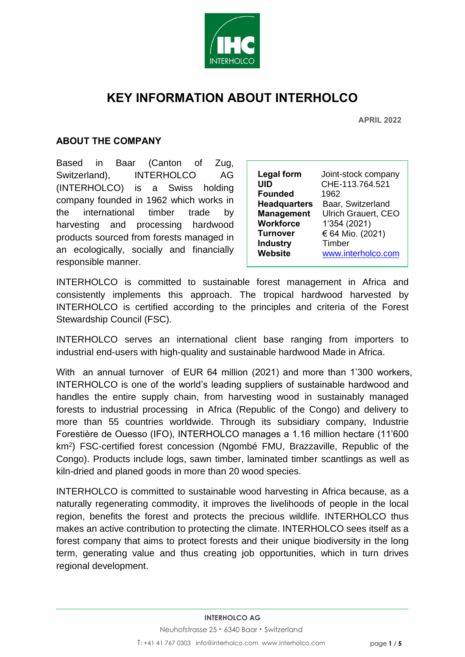

# **KEY INFORMATION ABOUT INTERHOLCO**

**APRIL 2022**

### **ABOUT THE COMPANY**

Based in Baar (Canton of Zug, Switzerland), INTERHOLCO AG (INTERHOLCO) is a Swiss holding company founded in 1962 which works in the international timber trade by harvesting and processing hardwood products sourced from forests managed in an ecologically, socially and financially responsible manner.

| <b>Legal form</b>   | Joint-stock company        |
|---------------------|----------------------------|
| UID                 | CHE-113.764.521            |
| <b>Founded</b>      | 1962                       |
| <b>Headquarters</b> | Baar, Switzerland          |
| <b>Management</b>   | <b>Ulrich Grauert, CEO</b> |
| <b>Workforce</b>    | 1'354 (2021)               |
| <b>Turnover</b>     | € 64 Mio. (2021)           |
| <b>Industry</b>     | Timber                     |
| <b>Website</b>      | www.interholco.com         |

INTERHOLCO is committed to sustainable forest management in Africa and consistently implements this approach. The tropical hardwood harvested by INTERHOLCO is certified according to the principles and criteria of the Forest Stewardship Council (FSC).

INTERHOLCO serves an international client base ranging from importers to industrial end-users with high-quality and sustainable hardwood Made in Africa.

With an annual turnover of EUR 64 million (2021) and more than 1'300 workers, INTERHOLCO is one of the world's leading suppliers of sustainable hardwood and handles the entire supply chain, from harvesting wood in sustainably managed forests to industrial processing in Africa (Republic of the Congo) and delivery to more than 55 countries worldwide. Through its subsidiary company, Industrie Forestière de Ouesso (IFO), INTERHOLCO manages a 1.16 million hectare (11'600 km<sup>2</sup> ) FSC-certified forest concession (Ngombé FMU, Brazzaville, Republic of the Congo). Products include logs, sawn timber, laminated timber scantlings as well as kiln-dried and planed goods in more than 20 wood species.

INTERHOLCO is committed to sustainable wood harvesting in Africa because, as a naturally regenerating commodity, it improves the livelihoods of people in the local region, benefits the forest and protects the precious wildlife. INTERHOLCO thus makes an active contribution to protecting the climate. INTERHOLCO sees itself as a forest company that aims to protect forests and their unique biodiversity in the long term, generating value and thus creating job opportunities, which in turn drives regional development.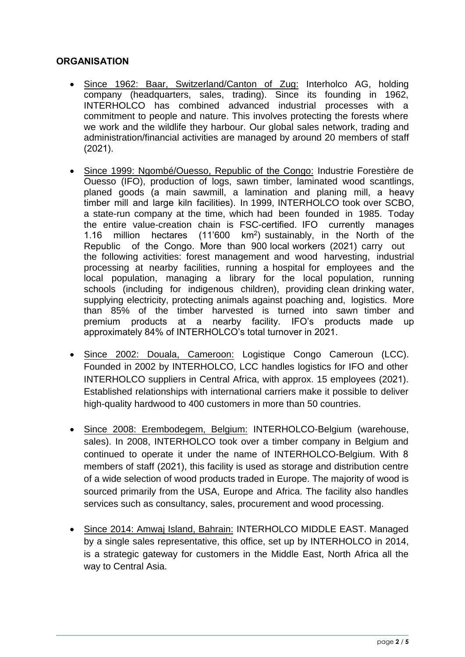# **ORGANISATION**

- Since 1962: Baar, Switzerland/Canton of Zug: Interholco AG, holding company (headquarters, sales, trading). Since its founding in 1962, INTERHOLCO has combined advanced industrial processes with a commitment to people and nature. This involves protecting the forests where we work and the wildlife they harbour. Our global sales network, trading and administration/financial activities are managed by around 20 members of staff (2021).
- Since 1999: Ngombé/Ouesso, Republic of the Congo: Industrie Forestière de Ouesso (IFO), production of logs, sawn timber, laminated wood scantlings, planed goods (a main sawmill, a lamination and planing mill, a heavy timber mill and large kiln facilities). In 1999, INTERHOLCO took over SCBO, a state-run company at the time, which had been founded in 1985. Today the entire value-creation chain is FSC-certified. IFO currently manages 1.16 million hectares  $(11'600)$  $km<sup>2</sup>$ ) sustainably, in the North of the Republic of the Congo. More than 900 local workers (2021) carry out the following activities: forest management and wood harvesting, industrial processing at nearby facilities, running a hospital for employees and the local population, managing a library for the local population, running schools (including for indigenous children), providing clean drinking water, supplying electricity, protecting animals against poaching and, logistics. More than 85% of the timber harvested is turned into sawn timber and premium products at a nearby facility. IFO's products made up approximately 84% of INTERHOLCO's total turnover in 2021.
- Since 2002: Douala, Cameroon: Logistique Congo Cameroun (LCC). Founded in 2002 by INTERHOLCO, LCC handles logistics for IFO and other INTERHOLCO suppliers in Central Africa, with approx. 15 employees (2021). Established relationships with international carriers make it possible to deliver high-quality hardwood to 400 customers in more than 50 countries.
- Since 2008: Erembodegem, Belgium: INTERHOLCO-Belgium (warehouse, sales). In 2008, INTERHOLCO took over a timber company in Belgium and continued to operate it under the name of INTERHOLCO-Belgium. With 8 members of staff (2021), this facility is used as storage and distribution centre of a wide selection of wood products traded in Europe. The majority of wood is sourced primarily from the USA, Europe and Africa. The facility also handles services such as consultancy, sales, procurement and wood processing.
- Since 2014: Amwaj Island, Bahrain: INTERHOLCO MIDDLE EAST. Managed by a single sales representative, this office, set up by INTERHOLCO in 2014, is a strategic gateway for customers in the Middle East, North Africa all the way to Central Asia.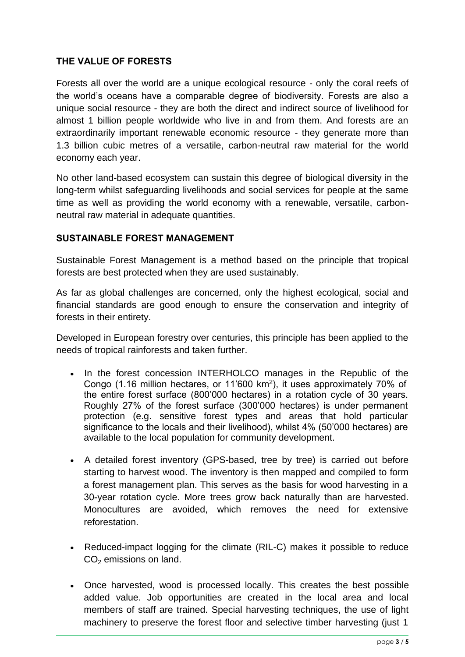# **THE VALUE OF FORESTS**

Forests all over the world are a unique ecological resource - only the coral reefs of the world's oceans have a comparable degree of biodiversity. Forests are also a unique social resource - they are both the direct and indirect source of livelihood for almost 1 billion people worldwide who live in and from them. And forests are an extraordinarily important renewable economic resource - they generate more than 1.3 billion cubic metres of a versatile, carbon-neutral raw material for the world economy each year.

No other land-based ecosystem can sustain this degree of biological diversity in the long-term whilst safeguarding livelihoods and social services for people at the same time as well as providing the world economy with a renewable, versatile, carbonneutral raw material in adequate quantities.

### **SUSTAINABLE FOREST MANAGEMENT**

Sustainable Forest Management is a method based on the principle that tropical forests are best protected when they are used sustainably.

As far as global challenges are concerned, only the highest ecological, social and financial standards are good enough to ensure the conservation and integrity of forests in their entirety.

Developed in European forestry over centuries, this principle has been applied to the needs of tropical rainforests and taken further.

- In the forest concession INTERHOLCO manages in the Republic of the Congo (1.16 million hectares, or 11'600 km<sup>2</sup> ), it uses approximately 70% of the entire forest surface (800'000 hectares) in a rotation cycle of 30 years. Roughly 27% of the forest surface (300'000 hectares) is under permanent protection (e.g. sensitive forest types and areas that hold particular significance to the locals and their livelihood), whilst 4% (50'000 hectares) are available to the local population for community development.
- A detailed forest inventory (GPS-based, tree by tree) is carried out before starting to harvest wood. The inventory is then mapped and compiled to form a forest management plan. This serves as the basis for wood harvesting in a 30-year rotation cycle. More trees grow back naturally than are harvested. Monocultures are avoided, which removes the need for extensive reforestation.
- Reduced-impact logging for the climate (RIL-C) makes it possible to reduce CO<sub>2</sub> emissions on land.
- Once harvested, wood is processed locally. This creates the best possible added value. Job opportunities are created in the local area and local members of staff are trained. Special harvesting techniques, the use of light machinery to preserve the forest floor and selective timber harvesting (just 1)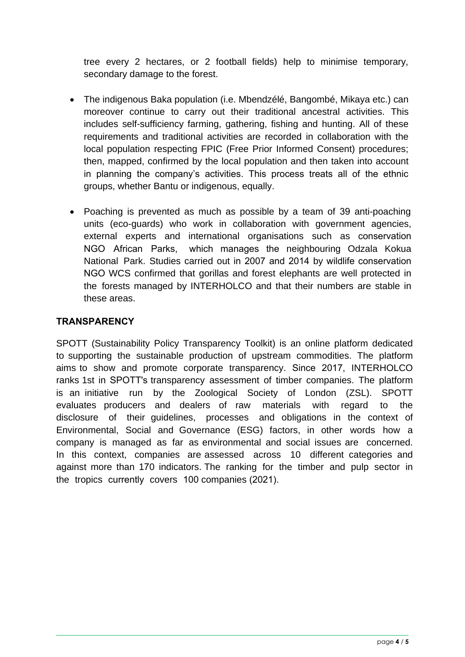tree every 2 hectares, or 2 football fields) help to minimise temporary, secondary damage to the forest.

- The indigenous Baka population (i.e. Mbendzélé, Bangombé, Mikaya etc.) can moreover continue to carry out their traditional ancestral activities. This includes self-sufficiency farming, gathering, fishing and hunting. All of these requirements and traditional activities are recorded in collaboration with the local population respecting FPIC (Free Prior Informed Consent) procedures; then, mapped, confirmed by the local population and then taken into account in planning the company's activities. This process treats all of the ethnic groups, whether Bantu or indigenous, equally.
- Poaching is prevented as much as possible by a team of 39 anti-poaching units (eco-guards) who work in collaboration with government agencies, external experts and international organisations such as conservation NGO African Parks, which manages the neighbouring Odzala Kokua National Park. Studies carried out in 2007 and 2014 by wildlife conservation NGO WCS confirmed that gorillas and forest elephants are well protected in the forests managed by INTERHOLCO and that their numbers are stable in these areas.

## **TRANSPARENCY**

SPOTT (Sustainability Policy Transparency Toolkit) is an online platform dedicated to supporting the sustainable production of upstream commodities. The platform aims to show and promote corporate transparency. Since 2017, INTERHOLCO ranks 1st in SPOTT's transparency assessment of timber companies. The platform is an initiative run by the Zoological Society of London (ZSL). SPOTT evaluates producers and dealers of raw materials with regard to the disclosure of their guidelines, processes and obligations in the context of Environmental, Social and Governance (ESG) factors, in other words how a company is managed as far as environmental and social issues are concerned. In this context, companies are assessed across 10 different categories and against more than 170 indicators. The ranking for the timber and pulp sector in the tropics currently covers 100 companies (2021).